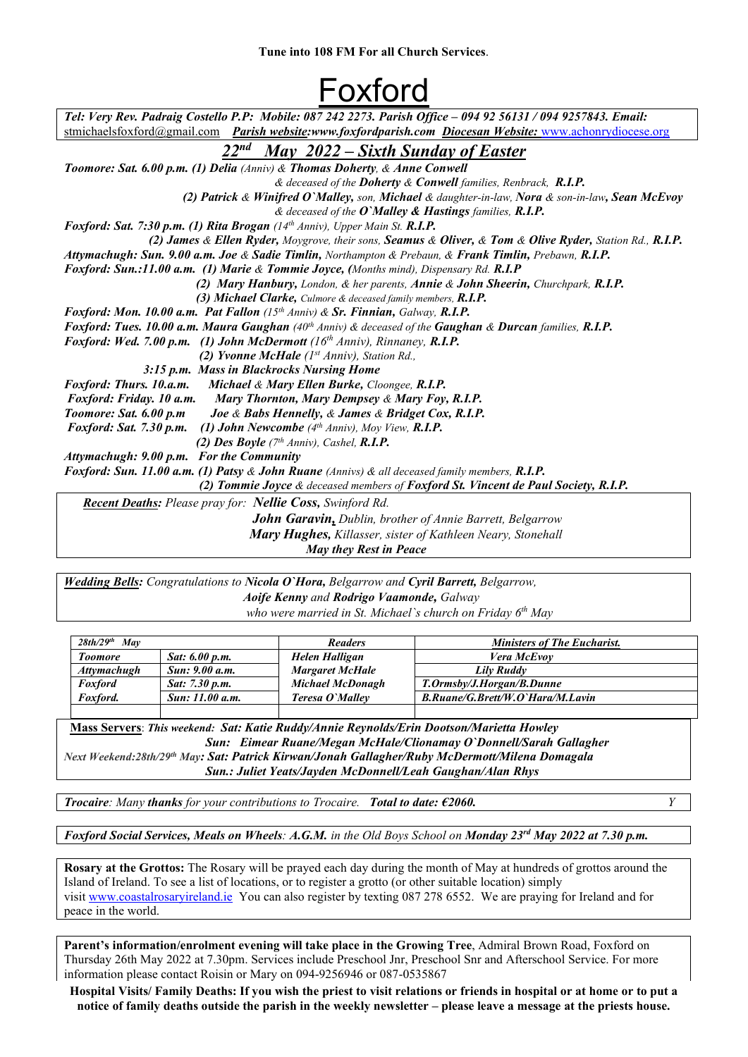## Foxford

| Tel: Very Rev. Padraig Costello P.P: Mobile: 087 242 2273. Parish Office - 094 92 56131 / 094 9257843. Email:        |  |  |  |  |
|----------------------------------------------------------------------------------------------------------------------|--|--|--|--|
| stmichaelsfoxford@gmail.com Parish website:www.foxfordparish.com Diocesan Website: www.achonrydiocese.org            |  |  |  |  |
| 22 <sup>nd</sup> May 2022 – Sixth Sunday of Easter                                                                   |  |  |  |  |
| <b>Toomore: Sat. 6.00 p.m. (1) Delia</b> (Anniv) & Thomas Doherty, & Anne Conwell                                    |  |  |  |  |
| & deceased of the Doherty & Conwell families, Renbrack, R.I.P.                                                       |  |  |  |  |
| (2) Patrick & Winifred O'Malley, son, Michael & daughter-in-law, Nora & son-in-law, Sean McEvoy                      |  |  |  |  |
| & deceased of the $O$ 'Malley & Hastings families, $R.I.P.$                                                          |  |  |  |  |
| Foxford: Sat. 7:30 p.m. (1) Rita Brogan (14th Anniv), Upper Main St. R.I.P.                                          |  |  |  |  |
| (2) James & Ellen Ryder, Moygrove, their sons, Seamus & Oliver, & Tom & Olive Ryder, Station Rd., R.I.P.             |  |  |  |  |
| Attymachugh: Sun. 9.00 a.m. Joe & Sadie Timlin, Northampton & Prebaun, & Frank Timlin, Prebawn, R.I.P.               |  |  |  |  |
| Foxford: Sun.:11.00 a.m. (1) Marie & Tommie Joyce, (Months mind), Dispensary Rd. R.I.P                               |  |  |  |  |
| (2) Mary Hanbury, London, & her parents, Annie & John Sheerin, Churchpark, R.I.P.                                    |  |  |  |  |
| (3) Michael Clarke, Culmore & deceased family members, R.I.P.                                                        |  |  |  |  |
| Foxford: Mon. 10.00 a.m. Pat Fallon (15th Anniv) & Sr. Finnian, Galway, R.I.P.                                       |  |  |  |  |
| Foxford: Tues. 10.00 a.m. Maura Gaughan (40 <sup>th</sup> Anniv) & deceased of the Gaughan & Durcan families, R.I.P. |  |  |  |  |
| <b>Foxford: Wed. 7.00 p.m.</b> (1) John McDermott $(16th Anniv)$ , Rinnaney, R.I.P.                                  |  |  |  |  |
| (2) Yvonne McHale $(Ist Anniv)$ , Station Rd.,                                                                       |  |  |  |  |
| 3:15 p.m. Mass in Blackrocks Nursing Home                                                                            |  |  |  |  |
| Michael & Mary Ellen Burke, Cloongee, R.I.P.<br>Foxford: Thurs. 10.a.m.                                              |  |  |  |  |
| Foxford: Friday. 10 a.m.<br>Mary Thornton, Mary Dempsey & Mary Foy, R.I.P.                                           |  |  |  |  |
| Toomore: Sat. 6.00 p.m<br>Joe & Babs Hennelly, & James & Bridget Cox, R.I.P.                                         |  |  |  |  |
| Foxford: Sat. 7.30 p.m.<br>(1) John Newcombe $(4th Anniv)$ , Moy View, R.I.P.                                        |  |  |  |  |
| (2) Des Boyle $(7th Anniv)$ , Cashel, R.I.P.                                                                         |  |  |  |  |
| Attymachugh: 9.00 p.m. For the Community                                                                             |  |  |  |  |
| <b>Foxford: Sun. 11.00 a.m. (1) Patsy &amp; John Ruane</b> (Annivs) & all deceased family members, R.I.P.            |  |  |  |  |
| (2) Tommie Joyce & deceased members of Foxford St. Vincent de Paul Society, R.I.P.                                   |  |  |  |  |
| <b>Recent Deaths:</b> Please pray for: <b>Nellie Coss</b> , Swinford Rd.                                             |  |  |  |  |
| <b>John Garavin, Dublin, brother of Annie Barrett, Belgarrow</b>                                                     |  |  |  |  |
| Mary Hughes, Killasser, sister of Kathleen Neary, Stonehall                                                          |  |  |  |  |

 *May they Rest in Peace* 

*Wedding Bells: Congratulations to Nicola O`Hora, Belgarrow and Cyril Barrett, Belgarrow, Aoife Kenny and Rodrigo Vaamonde, Galway who were married in St. Michael`s church on Friday 6th May*

| $28th/29^{th}$<br><b>May</b> |                 | <b>Readers</b>          | <b>Ministers of The Eucharist.</b> |
|------------------------------|-----------------|-------------------------|------------------------------------|
| <b>Toomore</b>               | Sat: 6.00 p.m.  | Helen Halligan          | <b>Vera McEvov</b>                 |
| <b>Attymachugh</b>           | Sun: 9.00 a.m.  | <b>Margaret McHale</b>  | Lily Ruddy                         |
| <b>Foxford</b>               | Sat: 7.30 p.m.  | <b>Michael McDonagh</b> | T.Ormsby/J.Horgan/B.Dunne          |
| Foxford.                     | Sun: 11.00 a.m. | Teresa O'Mallev         | B.Ruane/G.Brett/W.O`Hara/M.Lavin   |
|                              |                 |                         |                                    |

Mass Servers: *This weekend: Sat: Katie Ruddy/Annie Reynolds/Erin Dootson/Marietta Howley Sun: Eimear Ruane/Megan McHale/Clionamay O`Donnell/Sarah Gallagher Next Weekend:28th/29th May: Sat: Patrick Kirwan/Jonah Gallagher/Ruby McDermott/Milena Domagala Sun.: Juliet Yeats/Jayden McDonnell/Leah Gaughan/Alan Rhys*

*Trocaire: Many thanks for your contributions to Trocaire. Total to date: €2060. Y*

*Foxford Social Services, Meals on Wheels: A.G.M. in the Old Boys School on Monday 23rd May 2022 at 7.30 p.m.*

Rosary at the Grottos: The Rosary will be prayed each day during the month of May at hundreds of grottos around the Island of Ireland. To see a list of locations, or to register a grotto (or other suitable location) simply visit [www.coastalrosaryireland.ie](http://www.coastalrosaryireland.ie/) You can also register by texting 087 278 6552. We are praying for Ireland and for peace in the world.

Parent's information/enrolment evening will take place in the Growing Tree, Admiral Brown Road, Foxford on Thursday 26th May 2022 at 7.30pm. Services include Preschool Jnr, Preschool Snr and Afterschool Service. For more information please contact Roisin or Mary on 094-9256946 or 087-0535867

Hospital Visits/ Family Deaths: If you wish the priest to visit relations or friends in hospital or at home or to put a notice of family deaths outside the parish in the weekly newsletter – please leave a message at the priests house.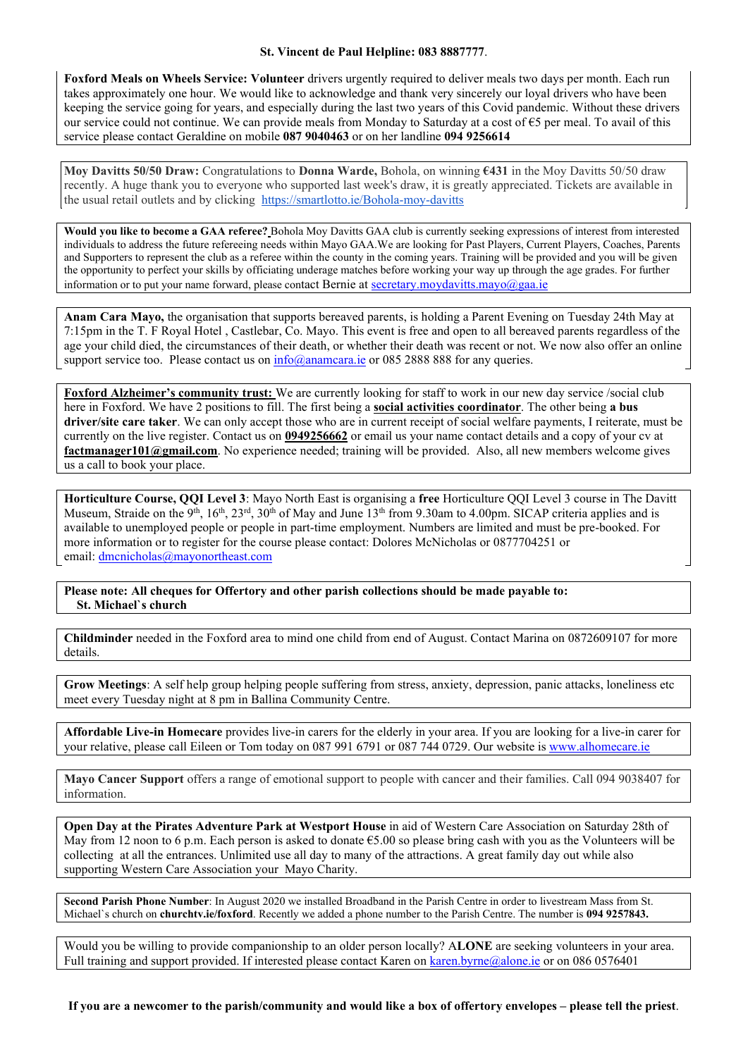## St. Vincent de Paul Helpline: 083 8887777.

Foxford Meals on Wheels Service: Volunteer drivers urgently required to deliver meals two days per month. Each run takes approximately one hour. We would like to acknowledge and thank very sincerely our loyal drivers who have been keeping the service going for years, and especially during the last two years of this Covid pandemic. Without these drivers our service could not continue. We can provide meals from Monday to Saturday at a cost of €5 per meal. To avail of this service please contact Geraldine on mobile 087 9040463 or on her landline 094 9256614

Moy Davitts 50/50 Draw: Congratulations to Donna Warde, Bohola, on winning €431 in the Moy Davitts 50/50 draw recently. A huge thank you to everyone who supported last week's draw, it is greatly appreciated. Tickets are available in the usual retail outlets and by clicking https://smartlotto.ie/Bohola-moy-davitts

Would you like to become a GAA referee? Bohola Moy Davitts GAA club is currently seeking expressions of interest from interested individuals to address the future refereeing needs within Mayo GAA.We are looking for Past Players, Current Players, Coaches, Parents and Supporters to represent the club as a referee within the county in the coming years. Training will be provided and you will be given the opportunity to perfect your skills by officiating underage matches before working your way up through the age grades. For further information or to put your name forward, please contact Bernie at [secretary.moydavitts.mayo@gaa.ie](mailto:secretary.moydavitts.mayo@gaa.ie)

Anam Cara Mayo, the organisation that supports bereaved parents, is holding a Parent Evening on Tuesday 24th May at 7:15pm in the T. F Royal Hotel , Castlebar, Co. Mayo. This event is free and open to all bereaved parents regardless of the age your child died, the circumstances of their death, or whether their death was recent or not. We now also offer an online support service too. Please contact us on  $\frac{info(Q)$ anamcara.ie or 085 2888 888 for any queries.

Foxford Alzheimer's community trust: We are currently looking for staff to work in our new day service /social club here in Foxford. We have 2 positions to fill. The first being a **social activities coordinator**. The other being a bus driver/site care taker. We can only accept those who are in current receipt of social welfare payments, I reiterate, must be currently on the live register. Contact us on 0949256662 or email us your name contact details and a copy of your cv at factmanager101@gmail.com. No experience needed; training will be provided. Also, all new members welcome gives us a call to book your place.

Horticulture Course, QQI Level 3: Mayo North East is organising a free Horticulture QQI Level 3 course in The Davitt Museum, Straide on the 9<sup>th</sup>, 16<sup>th</sup>, 23<sup>rd</sup>, 30<sup>th</sup> of May and June 13<sup>th</sup> from 9.30am to 4.00pm. SICAP criteria applies and is available to unemployed people or people in part-time employment. Numbers are limited and must be pre-booked. For more information or to register for the course please contact: Dolores McNicholas or 0877704251 or email: [dmcnicholas@mayonortheast.com](mailto:dmcnicholas@mayonortheast.com)

Please note: All cheques for Offertory and other parish collections should be made payable to: St. Michael`s church

Childminder needed in the Foxford area to mind one child from end of August. Contact Marina on 0872609107 for more details.

Grow Meetings: A self help group helping people suffering from stress, anxiety, depression, panic attacks, loneliness etc meet every Tuesday night at 8 pm in Ballina Community Centre.

Affordable Live-in Homecare provides live-in carers for the elderly in your area. If you are looking for a live-in carer for your relative, please call Eileen or Tom today on 087 991 6791 or 087 744 0729. Our website is [www.alhomecare.ie](http://www.alhomecare.ie/)

Mayo Cancer Support offers a range of emotional support to people with cancer and their families. Call 094 9038407 for information.

Open Day at the Pirates Adventure Park at Westport House in aid of Western Care Association on Saturday 28th of May from 12 noon to 6 p.m. Each person is asked to donate  $65.00$  so please bring cash with you as the Volunteers will be collecting at all the entrances. Unlimited use all day to many of the attractions. A great family day out while also supporting Western Care Association your Mayo Charity.

Second Parish Phone Number: In August 2020 we installed Broadband in the Parish Centre in order to livestream Mass from St. Michael's church on churchtv.ie/foxford. Recently we added a phone number to the Parish Centre. The number is 094 9257843.

Would you be willing to provide companionship to an older person locally? ALONE are seeking volunteers in your area. Full training and support provided. If interested please contact Karen on [karen.byrne@alone.ie](mailto:karen.byrne@alone.ie) or on 086 0576401

If you are a newcomer to the parish/community and would like a box of offertory envelopes – please tell the priest.